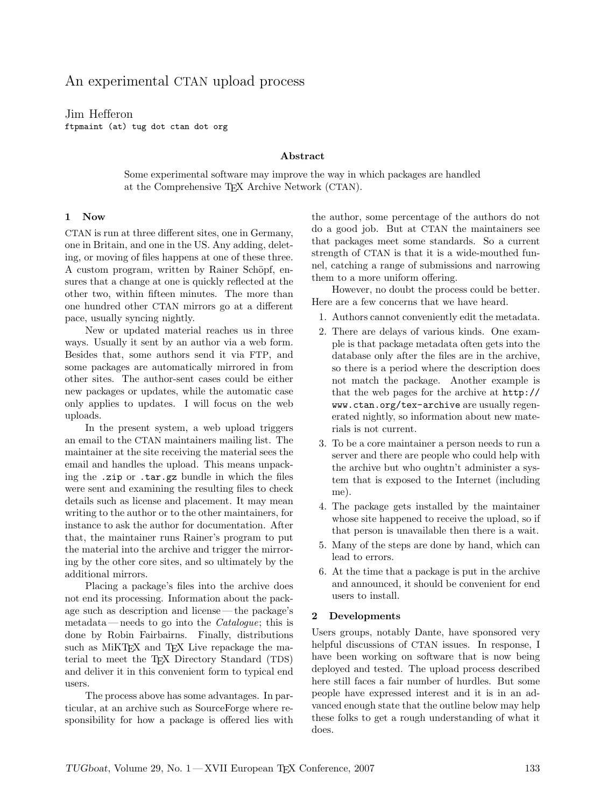# An experimental CTAN upload process

Jim Hefferon ftpmaint (at) tug dot ctan dot org

# Abstract

Some experimental software may improve the way in which packages are handled at the Comprehensive TEX Archive Network (CTAN).

## 1 Now

CTAN is run at three different sites, one in Germany, one in Britain, and one in the US. Any adding, deleting, or moving of files happens at one of these three. A custom program, written by Rainer Schöpf, ensures that a change at one is quickly reflected at the other two, within fifteen minutes. The more than one hundred other CTAN mirrors go at a different pace, usually syncing nightly.

New or updated material reaches us in three ways. Usually it sent by an author via a web form. Besides that, some authors send it via FTP, and some packages are automatically mirrored in from other sites. The author-sent cases could be either new packages or updates, while the automatic case only applies to updates. I will focus on the web uploads.

In the present system, a web upload triggers an email to the CTAN maintainers mailing list. The maintainer at the site receiving the material sees the email and handles the upload. This means unpacking the .zip or .tar.gz bundle in which the files were sent and examining the resulting files to check details such as license and placement. It may mean writing to the author or to the other maintainers, for instance to ask the author for documentation. After that, the maintainer runs Rainer's program to put the material into the archive and trigger the mirroring by the other core sites, and so ultimately by the additional mirrors.

Placing a package's files into the archive does not end its processing. Information about the package such as description and license— the package's metadata—needs to go into the *Catalogue*; this is done by Robin Fairbairns. Finally, distributions such as MiKT<sub>E</sub>X and T<sub>E</sub>X Live repackage the material to meet the TEX Directory Standard (TDS) and deliver it in this convenient form to typical end users.

The process above has some advantages. In particular, at an archive such as SourceForge where responsibility for how a package is offered lies with the author, some percentage of the authors do not do a good job. But at CTAN the maintainers see that packages meet some standards. So a current strength of CTAN is that it is a wide-mouthed funnel, catching a range of submissions and narrowing them to a more uniform offering.

However, no doubt the process could be better. Here are a few concerns that we have heard.

- 1. Authors cannot conveniently edit the metadata.
- 2. There are delays of various kinds. One example is that package metadata often gets into the database only after the files are in the archive, so there is a period where the description does not match the package. Another example is that the web pages for the archive at http:// www.ctan.org/tex-archive are usually regenerated nightly, so information about new materials is not current.
- 3. To be a core maintainer a person needs to run a server and there are people who could help with the archive but who oughtn't administer a system that is exposed to the Internet (including me).
- 4. The package gets installed by the maintainer whose site happened to receive the upload, so if that person is unavailable then there is a wait.
- 5. Many of the steps are done by hand, which can lead to errors.
- 6. At the time that a package is put in the archive and announced, it should be convenient for end users to install.

# 2 Developments

Users groups, notably Dante, have sponsored very helpful discussions of CTAN issues. In response, I have been working on software that is now being deployed and tested. The upload process described here still faces a fair number of hurdles. But some people have expressed interest and it is in an advanced enough state that the outline below may help these folks to get a rough understanding of what it does.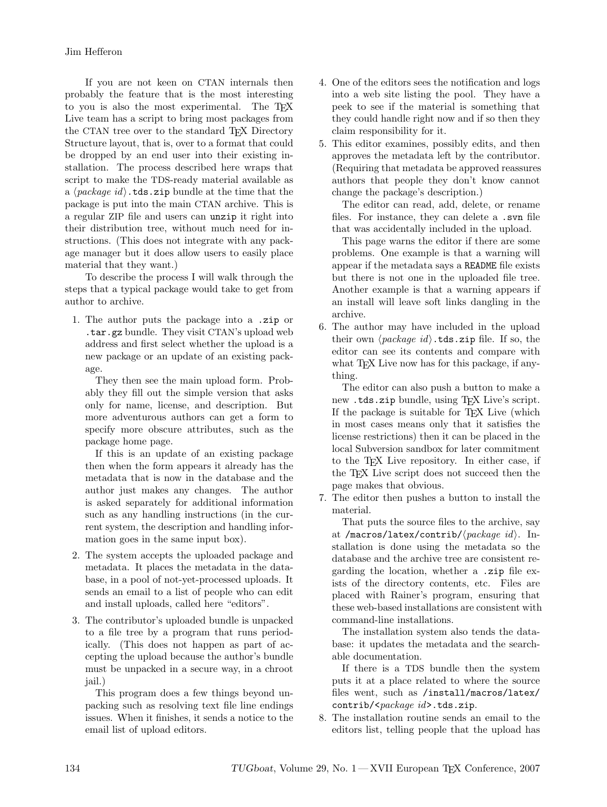If you are not keen on CTAN internals then probably the feature that is the most interesting to you is also the most experimental. The TEX Live team has a script to bring most packages from the CTAN tree over to the standard T<sub>EX</sub> Directory Structure layout, that is, over to a format that could be dropped by an end user into their existing installation. The process described here wraps that script to make the TDS-ready material available as a  $\langle package\ id \rangle$ .tds.zip bundle at the time that the package is put into the main CTAN archive. This is a regular ZIP file and users can unzip it right into their distribution tree, without much need for instructions. (This does not integrate with any package manager but it does allow users to easily place material that they want.)

To describe the process I will walk through the steps that a typical package would take to get from author to archive.

1. The author puts the package into a .zip or .tar.gz bundle. They visit CTAN's upload web address and first select whether the upload is a new package or an update of an existing package.

They then see the main upload form. Probably they fill out the simple version that asks only for name, license, and description. But more adventurous authors can get a form to specify more obscure attributes, such as the package home page.

If this is an update of an existing package then when the form appears it already has the metadata that is now in the database and the author just makes any changes. The author is asked separately for additional information such as any handling instructions (in the current system, the description and handling information goes in the same input box).

- 2. The system accepts the uploaded package and metadata. It places the metadata in the database, in a pool of not-yet-processed uploads. It sends an email to a list of people who can edit and install uploads, called here "editors".
- 3. The contributor's uploaded bundle is unpacked to a file tree by a program that runs periodically. (This does not happen as part of accepting the upload because the author's bundle must be unpacked in a secure way, in a chroot jail.)

This program does a few things beyond unpacking such as resolving text file line endings issues. When it finishes, it sends a notice to the email list of upload editors.

- 4. One of the editors sees the notification and logs into a web site listing the pool. They have a peek to see if the material is something that they could handle right now and if so then they claim responsibility for it.
- 5. This editor examines, possibly edits, and then approves the metadata left by the contributor. (Requiring that metadata be approved reassures authors that people they don't know cannot change the package's description.)

The editor can read, add, delete, or rename files. For instance, they can delete a .svn file that was accidentally included in the upload.

This page warns the editor if there are some problems. One example is that a warning will appear if the metadata says a README file exists but there is not one in the uploaded file tree. Another example is that a warning appears if an install will leave soft links dangling in the archive.

6. The author may have included in the upload their own  $\langle package\ id \rangle$ .tds.zip file. If so, the editor can see its contents and compare with what TFX Live now has for this package, if anything.

The editor can also push a button to make a new .tds.zip bundle, using T<sub>EX</sub> Live's script. If the package is suitable for TEX Live (which in most cases means only that it satisfies the license restrictions) then it can be placed in the local Subversion sandbox for later commitment to the TEX Live repository. In either case, if the TEX Live script does not succeed then the page makes that obvious.

7. The editor then pushes a button to install the material.

That puts the source files to the archive, say at /macros/latex/contrib/ $\langle package\ id \rangle$ . Installation is done using the metadata so the database and the archive tree are consistent regarding the location, whether a .zip file exists of the directory contents, etc. Files are placed with Rainer's program, ensuring that these web-based installations are consistent with command-line installations.

The installation system also tends the database: it updates the metadata and the searchable documentation.

If there is a TDS bundle then the system puts it at a place related to where the source files went, such as /install/macros/latex/ contrib/<package id>.tds.zip.

8. The installation routine sends an email to the editors list, telling people that the upload has